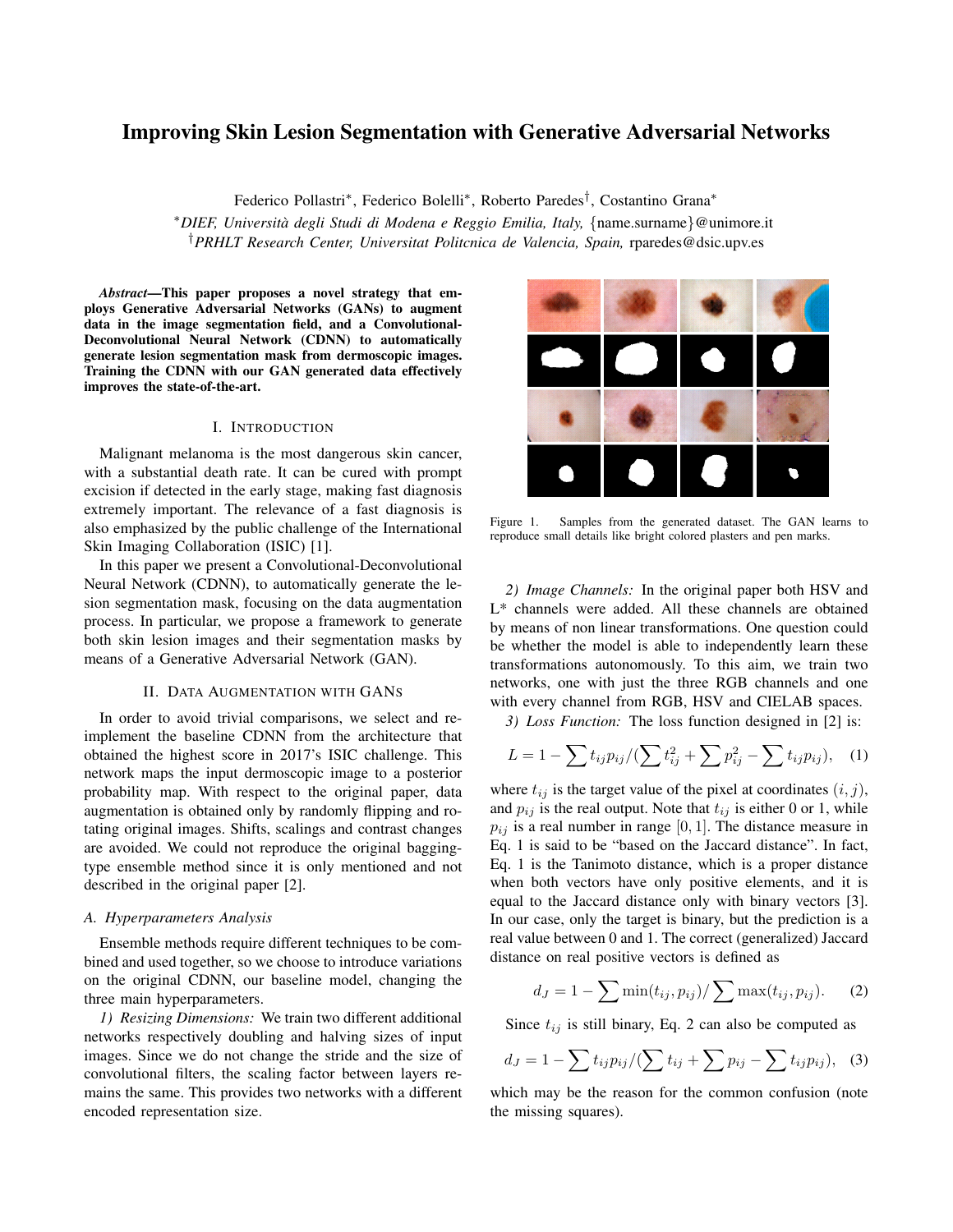# Improving Skin Lesion Segmentation with Generative Adversarial Networks

Federico Pollastri<sup>∗</sup> , Federico Bolelli<sup>∗</sup> , Roberto Paredes† , Costantino Grana<sup>∗</sup>

<sup>∗</sup>*DIEF, Universita degli Studi di Modena e Reggio Emilia, Italy, `* {name.surname}@unimore.it †*PRHLT Research Center, Universitat Politcnica de Valencia, Spain,* rparedes@dsic.upv.es

*Abstract*—This paper proposes a novel strategy that employs Generative Adversarial Networks (GANs) to augment data in the image segmentation field, and a Convolutional-Deconvolutional Neural Network (CDNN) to automatically generate lesion segmentation mask from dermoscopic images. Training the CDNN with our GAN generated data effectively improves the state-of-the-art.

## I. INTRODUCTION

Malignant melanoma is the most dangerous skin cancer, with a substantial death rate. It can be cured with prompt excision if detected in the early stage, making fast diagnosis extremely important. The relevance of a fast diagnosis is also emphasized by the public challenge of the International Skin Imaging Collaboration (ISIC) [1].

In this paper we present a Convolutional-Deconvolutional Neural Network (CDNN), to automatically generate the lesion segmentation mask, focusing on the data augmentation process. In particular, we propose a framework to generate both skin lesion images and their segmentation masks by means of a Generative Adversarial Network (GAN).

## II. DATA AUGMENTATION WITH GANS

In order to avoid trivial comparisons, we select and reimplement the baseline CDNN from the architecture that obtained the highest score in 2017's ISIC challenge. This network maps the input dermoscopic image to a posterior probability map. With respect to the original paper, data augmentation is obtained only by randomly flipping and rotating original images. Shifts, scalings and contrast changes are avoided. We could not reproduce the original baggingtype ensemble method since it is only mentioned and not described in the original paper [2].

#### *A. Hyperparameters Analysis*

Ensemble methods require different techniques to be combined and used together, so we choose to introduce variations on the original CDNN, our baseline model, changing the three main hyperparameters.

*1) Resizing Dimensions:* We train two different additional networks respectively doubling and halving sizes of input images. Since we do not change the stride and the size of convolutional filters, the scaling factor between layers remains the same. This provides two networks with a different encoded representation size.



Figure 1. Samples from the generated dataset. The GAN learns to reproduce small details like bright colored plasters and pen marks.

*2) Image Channels:* In the original paper both HSV and L\* channels were added. All these channels are obtained by means of non linear transformations. One question could be whether the model is able to independently learn these transformations autonomously. To this aim, we train two networks, one with just the three RGB channels and one with every channel from RGB, HSV and CIELAB spaces.

*3) Loss Function:* The loss function designed in [2] is:

$$
L = 1 - \sum t_{ij} p_{ij} / (\sum t_{ij}^2 + \sum p_{ij}^2 - \sum t_{ij} p_{ij}), \quad (1)
$$

where  $t_{ij}$  is the target value of the pixel at coordinates  $(i, j)$ , and  $p_{ij}$  is the real output. Note that  $t_{ij}$  is either 0 or 1, while  $p_{ij}$  is a real number in range [0, 1]. The distance measure in Eq. 1 is said to be "based on the Jaccard distance". In fact, Eq. 1 is the Tanimoto distance, which is a proper distance when both vectors have only positive elements, and it is equal to the Jaccard distance only with binary vectors [3]. In our case, only the target is binary, but the prediction is a real value between 0 and 1. The correct (generalized) Jaccard distance on real positive vectors is defined as

$$
d_{J} = 1 - \sum \min(t_{ij}, p_{ij}) / \sum \max(t_{ij}, p_{ij}).
$$
 (2)

Since  $t_{ij}$  is still binary, Eq. 2 can also be computed as

$$
d_{J} = 1 - \sum t_{ij} p_{ij} / (\sum t_{ij} + \sum p_{ij} - \sum t_{ij} p_{ij}), \quad (3)
$$

which may be the reason for the common confusion (note the missing squares).